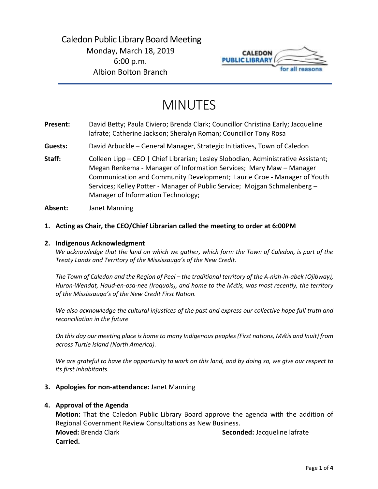

# MINUTES

- **Present:** David Betty; Paula Civiero; Brenda Clark; Councillor Christina Early; Jacqueline lafrate; Catherine Jackson; Sheralyn Roman; Councillor Tony Rosa
- **Guests:** David Arbuckle General Manager, Strategic Initiatives, Town of Caledon
- Staff: Colleen Lipp CEO | Chief Librarian; Lesley Slobodian, Administrative Assistant; Megan Renkema - Manager of Information Services; Mary Maw – Manager Communication and Community Development; Laurie Groe - Manager of Youth Services; Kelley Potter - Manager of Public Service; Mojgan Schmalenberg – Manager of Information Technology;
- **Absent:** Janet Manning

### **1. Acting as Chair, the CEO/Chief Librarian called the meeting to order at 6:00PM**

#### **2. Indigenous Acknowledgment**

*We acknowledge that the land on which we gather, which form the Town of Caledon, is part of the Treaty Lands and Territory of the Mississauga's of the New Credit.* 

*The Town of Caledon and the Region of Peel – the traditional territory of the A-nish-in-abek (Ojibway), Huron-Wendat, Haud-en-osa-nee (Iroquois), and home to the M*é*tis, was most recently, the territory of the Mississauga's of the New Credit First Nation.* 

*We also acknowledge the cultural injustices of the past and express our collective hope full truth and reconciliation in the future*

*On this day our meeting place is home to many Indigenous peoples (First nations, M*é*tis and Inuit) from across Turtle Island (North America).* 

*We are grateful to have the opportunity to work on this land, and by doing so, we give our respect to its first inhabitants.* 

#### **3. Apologies for non-attendance:** Janet Manning

#### **4. Approval of the Agenda**

**Motion:** That the Caledon Public Library Board approve the agenda with the addition of Regional Government Review Consultations as New Business. **Moved:** Brenda Clark **Seconded:** Jacqueline lafrate **Carried.**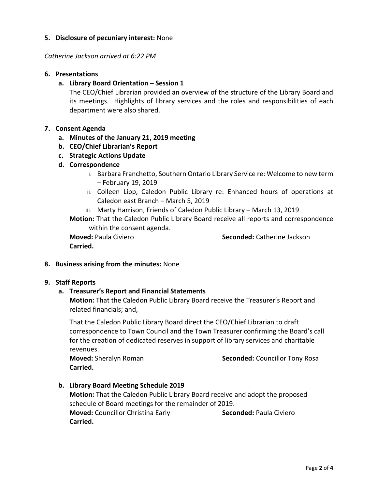# **5. Disclosure of pecuniary interest:** None

*Catherine Jackson arrived at 6:22 PM*

#### **6. Presentations**

**a. Library Board Orientation – Session 1**

The CEO/Chief Librarian provided an overview of the structure of the Library Board and its meetings. Highlights of library services and the roles and responsibilities of each department were also shared.

### **7. Consent Agenda**

- **a. Minutes of the January 21, 2019 meeting**
- **b. CEO/Chief Librarian's Report**
- **c. Strategic Actions Update**
- **d. Correspondence**
	- i. Barbara Franchetto, Southern Ontario Library Service re: Welcome to new term – February 19, 2019
	- ii. Colleen Lipp, Caledon Public Library re: Enhanced hours of operations at Caledon east Branch – March 5, 2019
	- iii. Marty Harrison, Friends of Caledon Public Library March 13, 2019

**Motion:** That the Caledon Public Library Board receive all reports and correspondence within the consent agenda.

**Carried.** 

**Moved:** Paula Civiero **Seconded:** Catherine Jackson

#### **8. Business arising from the minutes:** None

#### **9. Staff Reports**

#### **a. Treasurer's Report and Financial Statements**

**Motion:** That the Caledon Public Library Board receive the Treasurer's Report and related financials; and,

That the Caledon Public Library Board direct the CEO/Chief Librarian to draft correspondence to Town Council and the Town Treasurer confirming the Board's call for the creation of dedicated reserves in support of library services and charitable revenues.

**Carried.**

**Moved:** Sheralyn Roman **Seconded:** Councillor Tony Rosa

**b. Library Board Meeting Schedule 2019 Motion:** That the Caledon Public Library Board receive and adopt the proposed schedule of Board meetings for the remainder of 2019. **Moved:** Councillor Christina Early **Seconded:** Paula Civiero **Carried.**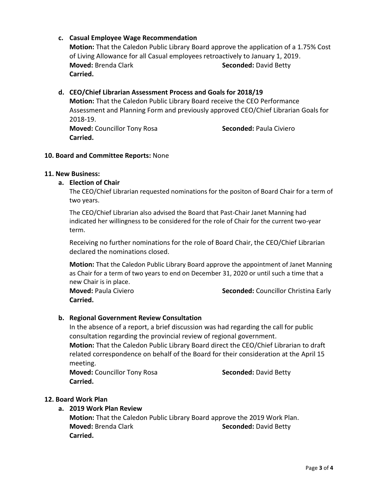# **c. Casual Employee Wage Recommendation**

**Motion:** That the Caledon Public Library Board approve the application of a 1.75% Cost of Living Allowance for all Casual employees retroactively to January 1, 2019. **Moved:** Brenda Clark **Seconded:** David Betty **Carried.** 

# **d. CEO/Chief Librarian Assessment Process and Goals for 2018/19**

**Motion:** That the Caledon Public Library Board receive the CEO Performance Assessment and Planning Form and previously approved CEO/Chief Librarian Goals for 2018-19.

**Moved:** Councillor Tony Rosa **Seconded:** Paula Civiero **Carried.**

### **10. Board and Committee Reports:** None

#### **11. New Business:**

### **a. Election of Chair**

The CEO/Chief Librarian requested nominations for the positon of Board Chair for a term of two years.

The CEO/Chief Librarian also advised the Board that Past-Chair Janet Manning had indicated her willingness to be considered for the role of Chair for the current two-year term.

Receiving no further nominations for the role of Board Chair, the CEO/Chief Librarian declared the nominations closed.

**Motion:** That the Caledon Public Library Board approve the appointment of Janet Manning as Chair for a term of two years to end on December 31, 2020 or until such a time that a new Chair is in place.

**Carried.**

**Moved:** Paula Civiero **Seconded:** Councillor Christina Early

# **b. Regional Government Review Consultation**

In the absence of a report, a brief discussion was had regarding the call for public consultation regarding the provincial review of regional government.

**Motion:** That the Caledon Public Library Board direct the CEO/Chief Librarian to draft related correspondence on behalf of the Board for their consideration at the April 15 meeting.

**Moved:** Councillor Tony Rosa **Seconded:** David Betty **Carried.**

# **12. Board Work Plan**

# **a. 2019 Work Plan Review**

**Motion:** That the Caledon Public Library Board approve the 2019 Work Plan. **Moved:** Brenda Clark **Seconded:** David Betty **Carried.**